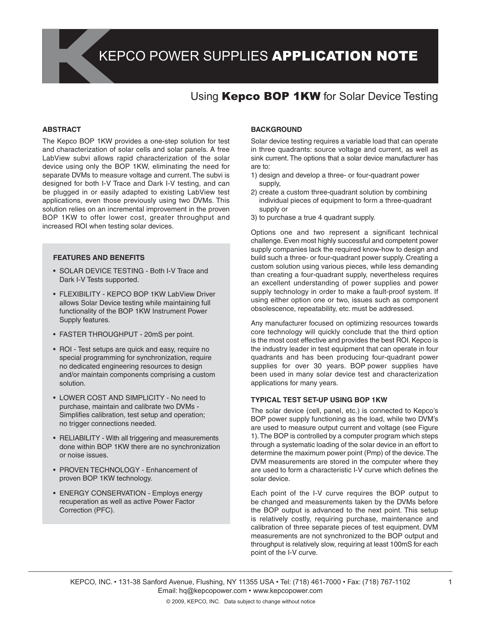# Using **Kepco BOP 1KW** for Solar Device Testing

### **ABSTRACT**

The Kepco BOP 1KW provides a one-step solution for test and characterization of solar cells and solar panels. A free LabView subvi allows rapid characterization of the solar device using only the BOP 1KW, eliminating the need for separate DVMs to measure voltage and current. The subvi is designed for both I-V Trace and Dark I-V testing, and can be plugged in or easily adapted to existing LabView test applications, even those previously using two DVMs. This solution relies on an incremental improvement in the proven BOP 1KW to offer lower cost, greater throughput and increased ROI when testing solar devices.

#### **FEATURES AND BENEFITS**

- SOLAR DEVICE TESTING Both I-V Trace and Dark I-V Tests supported.
- FLEXIBILITY KEPCO BOP 1KW LabView Driver allows Solar Device testing while maintaining full functionality of the BOP 1KW Instrument Power Supply features.
- FASTER THROUGHPUT 20mS per point.
- ROI Test setups are quick and easy, require no special programming for synchronization, require no dedicated engineering resources to design and/or maintain components comprising a custom solution.
- LOWER COST AND SIMPLICITY No need to purchase, maintain and calibrate two DVMs - Simplifies calibration, test setup and operation; no trigger connections needed.
- RELIABILITY With all triggering and measurements done within BOP 1KW there are no synchronization or noise issues.
- PROVEN TECHNOLOGY Enhancement of proven BOP 1KW technology.
- ENERGY CONSERVATION Employs energy recuperation as well as active Power Factor Correction (PFC).

## **BACKGROUND**

Solar device testing requires a variable load that can operate in three quadrants: source voltage and current, as well as sink current. The options that a solar device manufacturer has are to:

- 1) design and develop a three- or four-quadrant power supply,
- 2) create a custom three-quadrant solution by combining individual pieces of equipment to form a three-quadrant supply or
- 3) to purchase a true 4 quadrant supply.

Options one and two represent a significant technical challenge. Even most highly successful and competent power supply companies lack the required know-how to design and build such a three- or four-quadrant power supply. Creating a custom solution using various pieces, while less demanding than creating a four-quadrant supply, nevertheless requires an excellent understanding of power supplies and power supply technology in order to make a fault-proof system. If using either option one or two, issues such as component obsolescence, repeatability, etc. must be addressed.

Any manufacturer focused on optimizing resources towards core technology will quickly conclude that the third option is the most cost effective and provides the best ROI. Kepco is the industry leader in test equipment that can operate in four quadrants and has been producing four-quadrant power supplies for over 30 years. BOP power supplies have been used in many solar device test and characterization applications for many years.

### **TYPICAL TEST SET-UP USING BOP 1KW**

The solar device (cell, panel, etc.) is connected to Kepco's BOP power supply functioning as the load, while two DVM's are used to measure output current and voltage (see Figure 1). The BOP is controlled by a computer program which steps through a systematic loading of the solar device in an effort to determine the maximum power point (Pmp) of the device. The DVM measurements are stored in the computer where they are used to form a characteristic I-V curve which defines the solar device.

Each point of the I-V curve requires the BOP output to be changed and measurements taken by the DVMs before the BOP output is advanced to the next point. This setup is relatively costly, requiring purchase, maintenance and calibration of three separate pieces of test equipment. DVM measurements are not synchronized to the BOP output and throughput is relatively slow, requiring at least 100mS for each point of the I-V curve.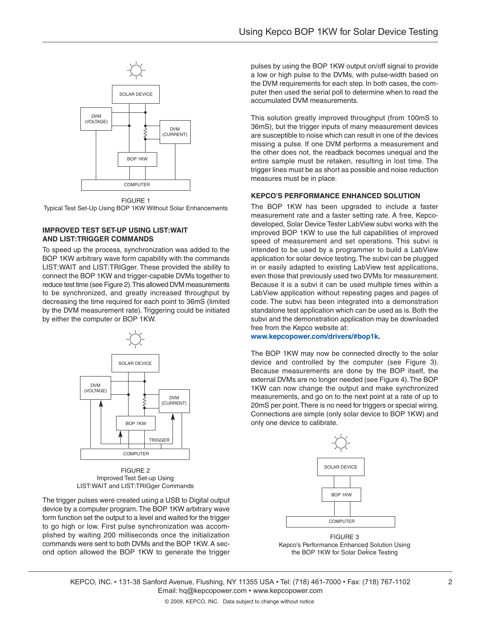

FIGURE 1 Typical Test Set-Up Using BOP 1KW Without Solar Enhancements

## **IMPROVED TEST SET-UP USING LIST:WAIT AND LIST:TRIGGER COMMANDS**

To speed up the process, synchronization was added to the BOP 1KW arbitrary wave form capability with the commands LIST:WAIT and LIST:TRIGger. These provided the ability to connect the BOP 1KW and trigger-capable DVMs together to reduce test time (see Figure 2). This allowed DVM measurements to be synchronized, and greatly increased throughput by decreasing the time required for each point to 36mS (limited by the DVM measurement rate). Triggering could be initiated by either the computer or BOP 1KW.



FIGURE 2 Improved Test Set-up Using LIST:WAIT and LIST:TRIGger Commands

The trigger pulses were created using a USB to Digital output device by a computer program. The BOP 1KW arbitrary wave form function set the output to a level and waited for the trigger to go high or low. First pulse synchronization was accomplished by waiting 200 milliseconds once the initialization commands were sent to both DVMs and the BOP 1KW. A second option allowed the BOP 1KW to generate the trigger

pulses by using the BOP 1KW output on/off signal to provide a low or high pulse to the DVMs, with pulse-width based on the DVM requirements for each step. In both cases, the computer then used the serial poll to determine when to read the accumulated DVM measurements.

This solution greatly improved throughput (from 100mS to 36mS), but the trigger inputs of many measurement devices are susceptible to noise which can result in one of the devices missing a pulse. If one DVM performs a measurement and the other does not, the readback becomes unequal and the entire sample must be retaken, resulting in lost time. The trigger lines must be as short as possible and noise reduction measures must be in place.

## **KEPCO'S PERFORMANCE ENHANCED SOLUTION**

The BOP 1KW has been upgraded to include a faster measurement rate and a faster setting rate. A free, Kepcodeveloped, Solar Device Tester LabView subvi works with the improved BOP 1KW to use the full capabilities of improved speed of measurement and set operations. This subvi is intended to be used by a programmer to build a LabView application for solar device testing. The subvi can be plugged in or easily adapted to existing LabView test applications, even those that previously used two DVMs for measurement. Because it is a subvi it can be used multiple times within a LabView application without repeating pages and pages of code. The subvi has been integrated into a demonstration standalone test application which can be used as is. Both the subvi and the demonstration application may be downloaded free from the Kepco website at:

## **www.kepcopower.com/drivers/#bop1k.**

The BOP 1KW may now be connected directly to the solar device and controlled by the computer (see Figure 3). Because measurements are done by the BOP itself, the external DVMs are no longer needed (see Figure 4). The BOP 1KW can now change the output and make synchronized measurements, and go on to the next point at a rate of up to 20mS per point. There is no need for triggers or special wiring. Connections are simple (only solar device to BOP 1KW) and only one device to calibrate.



FIGURE 3 Kepco's Performance Enhanced Solution Using the BOP 1KW for Solar Device Testing

KEPCO, INC. • 131-38 Sanford Avenue, Flushing, NY 11355 USA • Tel: (718) 461-7000 • Fax: (718) 767-1102 Email: hq@kepcopower.com • www.kepcopower.com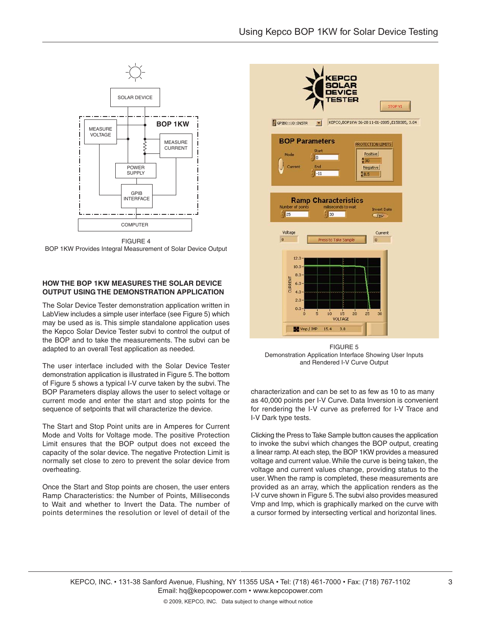

FIGURE 4 BOP 1KW Provides Integral Measurement of Solar Device Output

## **HOW THE BOP 1KW MEASURES THE SOLAR DEVICE OUTPUT USING THE DEMONSTRATION APPLICATION**

The Solar Device Tester demonstration application written in LabView includes a simple user interface (see Figure 5) which may be used as is. This simple standalone application uses the Kepco Solar Device Tester subvi to control the output of the BOP and to take the measurements. The subvi can be adapted to an overall Test application as needed.

The user interface included with the Solar Device Tester demonstration application is illustrated in Figure 5. The bottom of Figure 5 shows a typical I-V curve taken by the subvi. The BOP Parameters display allows the user to select voltage or current mode and enter the start and stop points for the sequence of setpoints that will characterize the device.

The Start and Stop Point units are in Amperes for Current Mode and Volts for Voltage mode. The positive Protection Limit ensures that the BOP output does not exceed the capacity of the solar device. The negative Protection Limit is normally set close to zero to prevent the solar device from overheating.

Once the Start and Stop points are chosen, the user enters Ramp Characteristics: the Number of Points, Milliseconds to Wait and whether to Invert the Data. The number of points determines the resolution or level of detail of the



FIGURE 5 Demonstration Application Interface Showing User Inputs and Rendered I-V Curve Output

characterization and can be set to as few as 10 to as many as 40,000 points per I-V Curve. Data Inversion is convenient for rendering the I-V curve as preferred for I-V Trace and I-V Dark type tests.

Clicking the Press to Take Sample button causes the application to invoke the subvi which changes the BOP output, creating a linear ramp. At each step, the BOP 1KW provides a measured voltage and current value. While the curve is being taken, the voltage and current values change, providing status to the user. When the ramp is completed, these measurements are provided as an array, which the application renders as the I-V curve shown in Figure 5. The subvi also provides measured Vmp and Imp, which is graphically marked on the curve with a cursor formed by intersecting vertical and horizontal lines.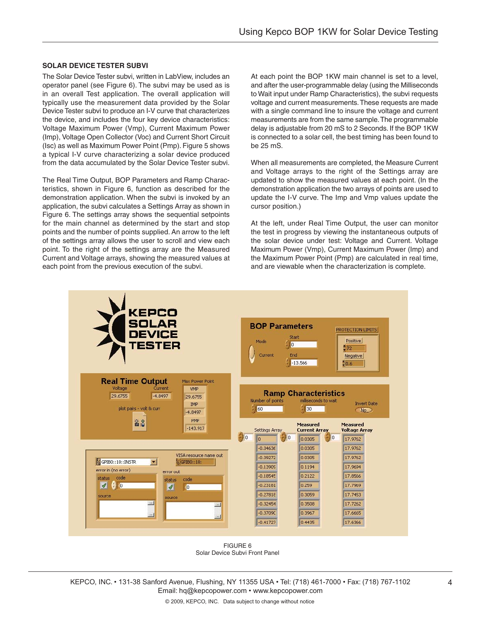## **SOLAR DEVICE TESTER SUBVI**

The Solar Device Tester subvi, written in LabView, includes an operator panel (see Figure 6). The subvi may be used as is in an overall Test application. The overall application will typically use the measurement data provided by the Solar Device Tester subvi to produce an I-V curve that characterizes the device, and includes the four key device characteristics: Voltage Maximum Power (Vmp), Current Maximum Power (Imp), Voltage Open Collector (Voc) and Current Short Circuit (Isc) as well as Maximum Power Point (Pmp). Figure 5 shows a typical I-V curve characterizing a solar device produced from the data accumulated by the Solar Device Tester subvi.

The Real Time Output, BOP Parameters and Ramp Characteristics, shown in Figure 6, function as described for the demonstration application. When the subvi is invoked by an application, the subvi calculates a Settings Array as shown in Figure 6. The settings array shows the sequential setpoints for the main channel as determined by the start and stop points and the number of points supplied. An arrow to the left of the settings array allows the user to scroll and view each point. To the right of the settings array are the Measured Current and Voltage arrays, showing the measured values at each point from the previous execution of the subvi.

At each point the BOP 1KW main channel is set to a level, and after the user-programmable delay (using the Milliseconds to Wait input under Ramp Characteristics), the subvi requests voltage and current measurements. These requests are made with a single command line to insure the voltage and current measurements are from the same sample. The programmable delay is adjustable from 20 mS to 2 Seconds. If the BOP 1KW is connected to a solar cell, the best timing has been found to be 25 mS.

When all measurements are completed, the Measure Current and Voltage arrays to the right of the Settings array are updated to show the measured values at each point. (In the demonstration application the two arrays of points are used to update the I-V curve. The Imp and Vmp values update the cursor position.)

At the left, under Real Time Output, the user can monitor the test in progress by viewing the instantaneous outputs of the solar device under test: Voltage and Current. Voltage Maximum Power (Vmp), Current Maximum Power (Imp) and the Maximum Power Point (Pmp) are calculated in real time, and are viewable when the characterization is complete.



FIGURE 6 Solar Device Subvi Front Panel